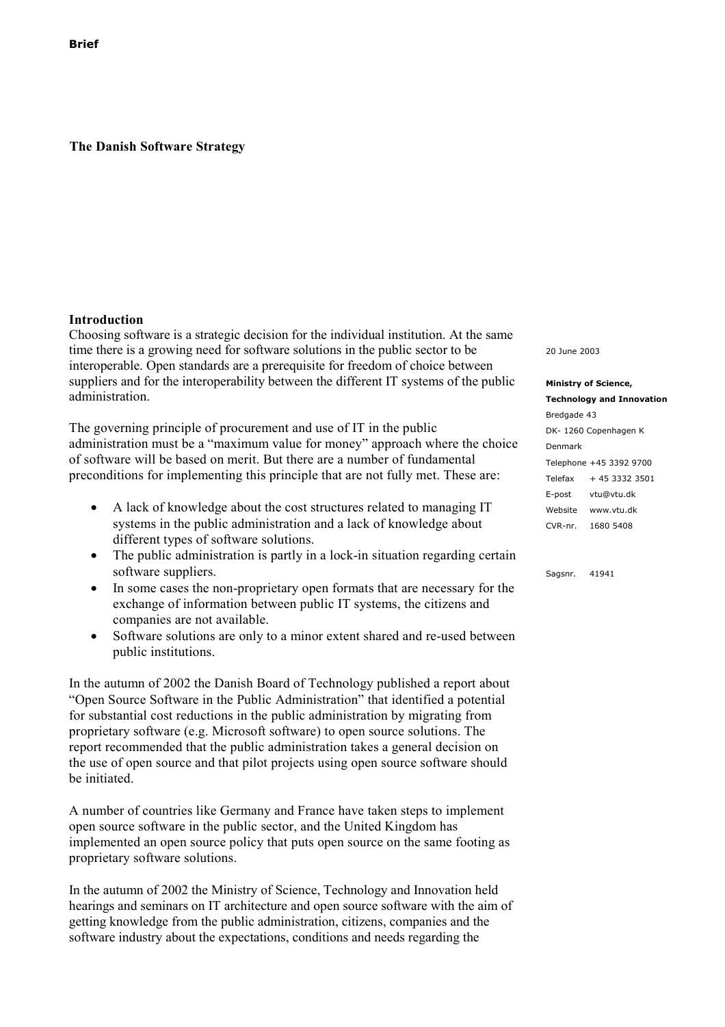**The Danish Software Strategy**

## **Introduction**

Choosing software is a strategic decision for the individual institution. At the same time there is a growing need for software solutions in the public sector to be interoperable. Open standards are a prerequisite for freedom of choice between suppliers and for the interoperability between the different IT systems of the public administration.

The governing principle of procurement and use of IT in the public administration must be a "maximum value for money" approach where the choice of software will be based on merit. But there are a number of fundamental preconditions for implementing this principle that are not fully met. These are:

- A lack of knowledge about the cost structures related to managing IT systems in the public administration and a lack of knowledge about different types of software solutions.
- The public administration is partly in a lock-in situation regarding certain software suppliers.
- In some cases the non-proprietary open formats that are necessary for the exchange of information between public IT systems, the citizens and companies are not available.
- Software solutions are only to a minor extent shared and re-used between public institutions.

In the autumn of 2002 the Danish Board of Technology published a report about "Open Source Software in the Public Administration" that identified a potential for substantial cost reductions in the public administration by migrating from proprietary software (e.g. Microsoft software) to open source solutions. The report recommended that the public administration takes a general decision on the use of open source and that pilot projects using open source software should be initiated.

A number of countries like Germany and France have taken steps to implement open source software in the public sector, and the United Kingdom has implemented an open source policy that puts open source on the same footing as proprietary software solutions.

In the autumn of 2002 the Ministry of Science, Technology and Innovation held hearings and seminars on IT architecture and open source software with the aim of getting knowledge from the public administration, citizens, companies and the software industry about the expectations, conditions and needs regarding the

20 June 2003

| <b>Ministry of Science,</b>      |                         |
|----------------------------------|-------------------------|
| <b>Technology and Innovation</b> |                         |
| Bredgade 43                      |                         |
| DK-1260 Copenhagen K             |                         |
| Denmark                          |                         |
|                                  | Telephone +45 3392 9700 |
| Telefax                          | + 45 3332 3501          |
| E-post                           | vtu@vtu.dk              |
| Website                          | www.vtu.dk              |
| CVR-nr.                          | 1680 5408               |

Sagsnr. 41941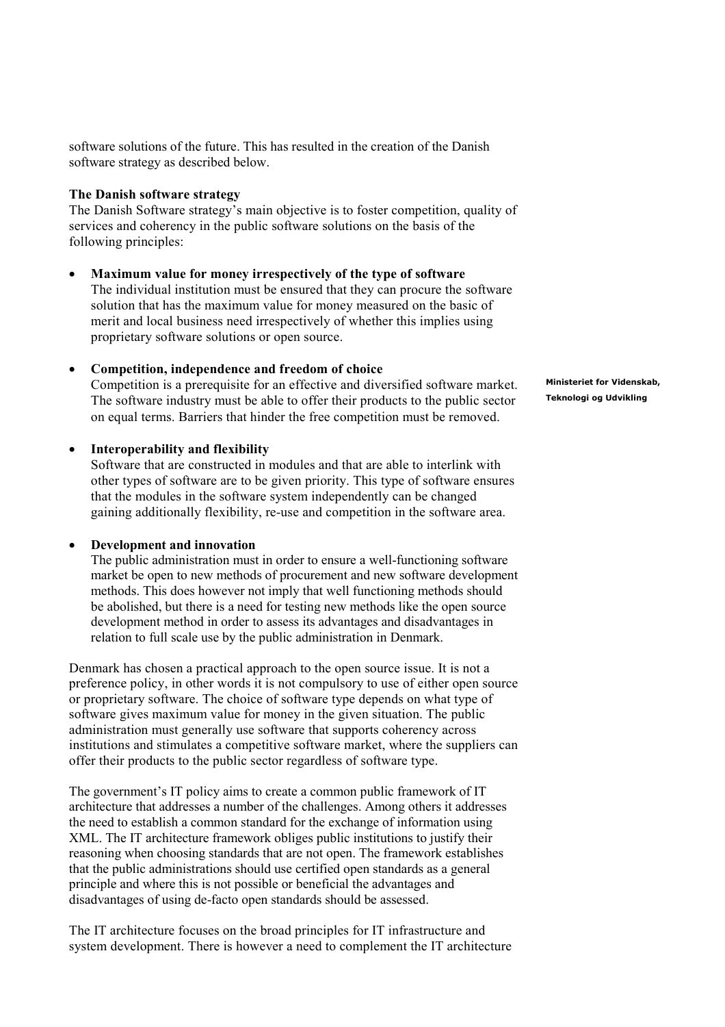software solutions of the future. This has resulted in the creation of the Danish software strategy as described below.

### **The Danish software strategy**

The Danish Software strategy's main objective is to foster competition, quality of services and coherency in the public software solutions on the basis of the following principles:

### **Maximum value for money irrespectively of the type of software**

The individual institution must be ensured that they can procure the software solution that has the maximum value for money measured on the basic of merit and local business need irrespectively of whether this implies using proprietary software solutions or open source.

### **Competition, independence and freedom of choice**

Competition is a prerequisite for an effective and diversified software market. The software industry must be able to offer their products to the public sector on equal terms. Barriers that hinder the free competition must be removed.

### **Interoperability and flexibility**

Software that are constructed in modules and that are able to interlink with other types of software are to be given priority. This type of software ensures that the modules in the software system independently can be changed gaining additionally flexibility, re-use and competition in the software area.

### **Development and innovation**

The public administration must in order to ensure a well-functioning software market be open to new methods of procurement and new software development methods. This does however not imply that well functioning methods should be abolished, but there is a need for testing new methods like the open source development method in order to assess its advantages and disadvantages in relation to full scale use by the public administration in Denmark.

Denmark has chosen a practical approach to the open source issue. It is not a preference policy, in other words it is not compulsory to use of either open source or proprietary software. The choice of software type depends on what type of software gives maximum value for money in the given situation. The public administration must generally use software that supports coherency across institutions and stimulates a competitive software market, where the suppliers can offer their products to the public sector regardless of software type.

The government's IT policy aims to create a common public framework of IT architecture that addresses a number of the challenges. Among others it addresses the need to establish a common standard for the exchange of information using XML. The IT architecture framework obliges public institutions to justify their reasoning when choosing standards that are not open. The framework establishes that the public administrations should use certified open standards as a general principle and where this is not possible or beneficial the advantages and disadvantages of using de-facto open standards should be assessed.

The IT architecture focuses on the broad principles for IT infrastructure and system development. There is however a need to complement the IT architecture **Ministeriet for Videnskab, Teknologi og Udvikling**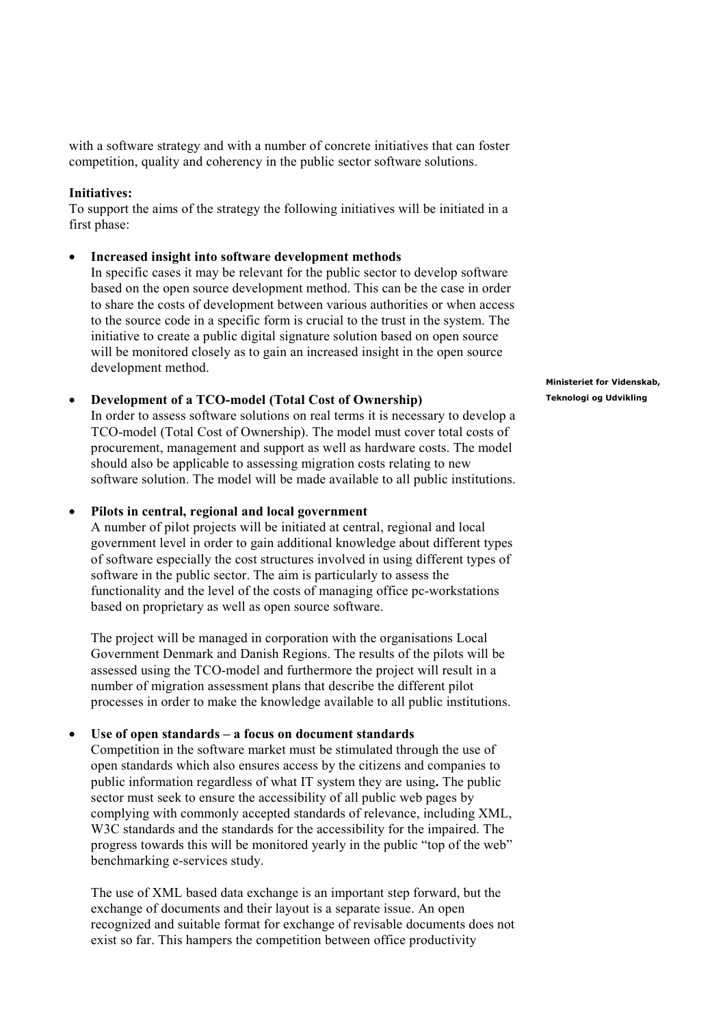with a software strategy and with a number of concrete initiatives that can foster competition, quality and coherency in the public sector software solutions.

## **Initiatives:**

To support the aims of the strategy the following initiatives will be initiated in a first phase:

#### **Increased insight into software development methods**

In specific cases it may be relevant for the public sector to develop software based on the open source development method. This can be the case in order to share the costs of development between various authorities or when access to the source code in a specific form is crucial to the trust in the system. The initiative to create a public digital signature solution based on open source will be monitored closely as to gain an increased insight in the open source development method.

#### **Development of a TCO-model (Total Cost of Ownership)**

In order to assess software solutions on real terms it is necessary to develop a TCO-model (Total Cost of Ownership). The model must cover total costs of procurement, management and support as well as hardware costs. The model should also be applicable to assessing migration costs relating to new software solution. The model will be made available to all public institutions.

#### **Pilots in central, regional and local government**

A number of pilot projects will be initiated at central, regional and local government level in order to gain additional knowledge about different types of software especially the cost structures involved in using different types of software in the public sector. The aim is particularly to assess the functionality and the level of the costs of managing office pc-workstations based on proprietary as well as open source software.

The project will be managed in corporation with the organisations Local Government Denmark and Danish Regions. The results of the pilots will be assessed using the TCO-model and furthermore the project will result in a number of migration assessment plans that describe the different pilot processes in order to make the knowledge available to all public institutions.

#### **Use of open standards – a focus on document standards**

Competition in the software market must be stimulated through the use of open standards which also ensures access by the citizens and companies to public information regardless of what IT system they are using**.** The public sector must seek to ensure the accessibility of all public web pages by complying with commonly accepted standards of relevance, including XML, W3C standards and the standards for the accessibility for the impaired. The progress towards this will be monitored yearly in the public "top of the web" benchmarking e-services study.

The use of XML based data exchange is an important step forward, but the exchange of documents and their layout is a separate issue. An open recognized and suitable format for exchange of revisable documents does not exist so far. This hampers the competition between office productivity

**Ministeriet for Videnskab, Teknologi og Udvikling**